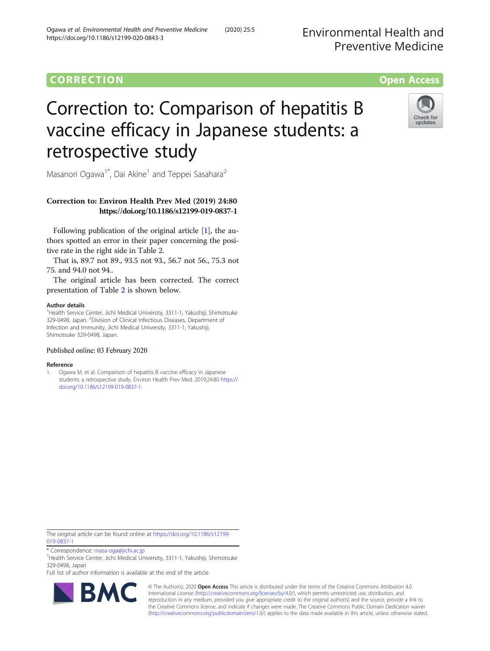# **CORRECTION** CORRECTION **CORRECTION**

# Correction to: Comparison of hepatitis B vaccine efficacy in Japanese students: a retrospective study



Masanori Ogawa<sup>1\*</sup>, Dai Akine<sup>1</sup> and Teppei Sasahara<sup>2</sup>

# Correction to: Environ Health Prev Med (2019) 24:80 https://doi.org/10.1186/s12199-019-0837-1

Following publication of the original article [1], the authors spotted an error in their paper concerning the positive rate in the right side in Table 2.

That is, 89.7 not 89., 93.5 not 93., 56.7 not 56., 75.3 not 75. and 94.0 not 94..

The original article has been corrected. The correct presentation of Table [2](#page-1-0) is shown below.

## Author details

<sup>1</sup>Health Service Center, Jichi Medical University, 3311-1, Yakushiji, Shimotsuke 329-0498, Japan. <sup>2</sup>Division of Clinical Infectious Diseases, Department of Infection and Immunity, Jichi Medical University, 3311-1, Yakushiji, Shimotsuke 329-0498, Japan.

## Published online: 03 February 2020

#### Reference

1. Ogawa M, et al. Comparison of hepatitis B vaccine efficacy in Japanese students: a retrospective study. Environ Health Prev Med. 2019;24:80 [https://](https://doi.org/10.1186/s12199-019-0837-1) [doi.org/10.1186/s12199-019-0837-1](https://doi.org/10.1186/s12199-019-0837-1).

The original article can be found online at [https://doi.org/10.1186/s12199-](https://doi.org/10.1186/s12199-019-0837-1) [019-0837-1](https://doi.org/10.1186/s12199-019-0837-1)

\* Correspondence: [masa-oga@jichi.ac.jp](mailto:masa-oga@jichi.ac.jp) <sup>1</sup>

<sup>1</sup>Health Service Center, Jichi Medical University, 3311-1, Yakushiji, Shimotsuke 329-0498, Japan

Full list of author information is available at the end of the article



© The Author(s). 2020 **Open Access** This article is distributed under the terms of the Creative Commons Attribution 4.0 International License [\(http://creativecommons.org/licenses/by/4.0/](http://creativecommons.org/licenses/by/4.0/)), which permits unrestricted use, distribution, and reproduction in any medium, provided you give appropriate credit to the original author(s) and the source, provide a link to the Creative Commons license, and indicate if changes were made. The Creative Commons Public Domain Dedication waiver [\(http://creativecommons.org/publicdomain/zero/1.0/](http://creativecommons.org/publicdomain/zero/1.0/)) applies to the data made available in this article, unless otherwise stated.